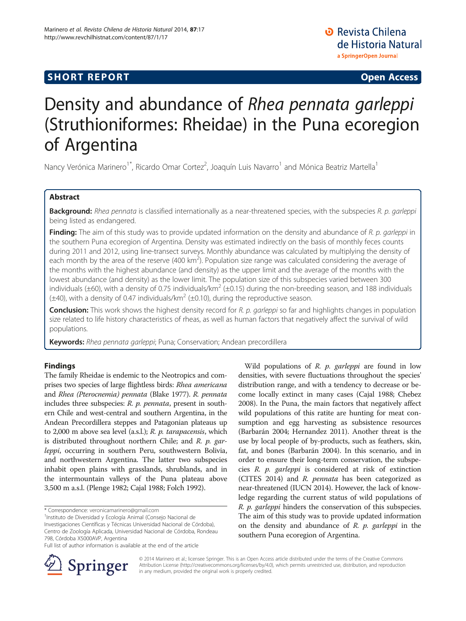# **SHORT REPORT SHORT CONSUMING THE CONSUMING THE CONSUMING THE CONSUMING THE CONSUMING THE CONSUMING THE CONSUMING THE CONSUMING THE CONSUMING THE CONSUMING THE CONSUMING THE CONSUMING THE CONSUMING THE CONSUMING THE CO**

**O** Revista Chilena de Historia Natural a SpringerOpen Journal

# Density and abundance of Rhea pennata garleppi (Struthioniformes: Rheidae) in the Puna ecoregion of Argentina

Nancy Verónica Marinero<sup>1\*</sup>, Ricardo Omar Cortez<sup>2</sup>, Joaquín Luis Navarro<sup>1</sup> and Mónica Beatriz Martella<sup>1</sup>

## Abstract

Background: Rhea pennata is classified internationally as a near-threatened species, with the subspecies R. p. garleppi being listed as endangered.

Finding: The aim of this study was to provide updated information on the density and abundance of R. p. garleppi in the southern Puna ecoregion of Argentina. Density was estimated indirectly on the basis of monthly feces counts during 2011 and 2012, using line-transect surveys. Monthly abundance was calculated by multiplying the density of each month by the area of the reserve (400 km<sup>2</sup>). Population size range was calculated considering the average of the months with the highest abundance (and density) as the upper limit and the average of the months with the lowest abundance (and density) as the lower limit. The population size of this subspecies varied between 300 individuals ( $\pm$ 60), with a density of 0.75 individuals/km<sup>2</sup> ( $\pm$ 0.15) during the non-breeding season, and 188 individuals  $(\pm 40)$ , with a density of 0.47 individuals/km<sup>2</sup> ( $\pm 0.10$ ), during the reproductive season.

Conclusion: This work shows the highest density record for R. p. garleppi so far and highlights changes in population size related to life history characteristics of rheas, as well as human factors that negatively affect the survival of wild populations.

Keywords: Rhea pennata garleppi; Puna; Conservation; Andean precordillera

## Findings

The family Rheidae is endemic to the Neotropics and comprises two species of large flightless birds: Rhea americana and Rhea (Pterocnemia) pennata (Blake [1977](#page-4-0)). R. pennata includes three subspecies: R. p. pennata, present in southern Chile and west-central and southern Argentina, in the Andean Precordillera steppes and Patagonian plateaus up to 2,000 m above sea level (a.s.l.); R. p. tarapacensis, which is distributed throughout northern Chile; and R. p. garleppi, occurring in southern Peru, southwestern Bolivia, and northwestern Argentina. The latter two subspecies inhabit open plains with grasslands, shrublands, and in the intermountain valleys of the Puna plateau above 3,500 m a.s.l. (Plenge [1982](#page-4-0); Cajal [1988;](#page-4-0) Folch [1992](#page-4-0)).

<sup>1</sup>Instituto de Diversidad y Ecología Animal (Consejo Nacional de

Investigaciones Científicas y Técnicas Universidad Nacional de Córdoba), Centro de Zoología Aplicada, Universidad Nacional de Córdoba, Rondeau 798, Córdoba X5000AVP, Argentina

Wild populations of  $R$ .  $p$ . garleppi are found in low densities, with severe fluctuations throughout the species' distribution range, and with a tendency to decrease or become locally extinct in many cases (Cajal [1988](#page-4-0); Chebez [2008\)](#page-4-0). In the Puna, the main factors that negatively affect wild populations of this ratite are hunting for meat consumption and egg harvesting as subsistence resources (Barbarán [2004](#page-4-0); Hernandez [2011](#page-4-0)). Another threat is the use by local people of by-products, such as feathers, skin, fat, and bones (Barbarán [2004](#page-4-0)). In this scenario, and in order to ensure their long-term conservation, the subspecies R. p. garleppi is considered at risk of extinction (CITES [2014\)](#page-4-0) and R. pennata has been categorized as near-threatened (IUCN [2014](#page-4-0)). However, the lack of knowledge regarding the current status of wild populations of R. p. garleppi hinders the conservation of this subspecies. The aim of this study was to provide updated information on the density and abundance of  $R$ .  $p$ . garleppi in the southern Puna ecoregion of Argentina.



© 2014 Marinero et al.; licensee Springer. This is an Open Access article distributed under the terms of the Creative Commons Attribution License [\(http://creativecommons.org/licenses/by/4.0\)](http://creativecommons.org/licenses/by/4.0), which permits unrestricted use, distribution, and reproduction in any medium, provided the original work is properly credited.

<sup>\*</sup> Correspondence: [veronicamarinero@gmail.com](mailto:veronicamarinero@gmail.com) <sup>1</sup>

Full list of author information is available at the end of the article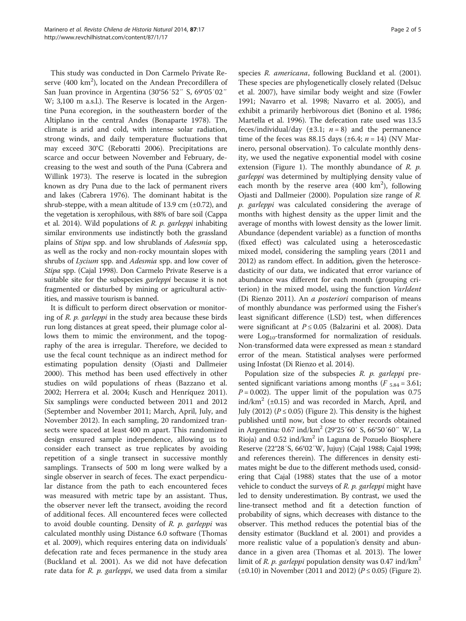This study was conducted in Don Carmelo Private Reserve (400  $\rm km^2$ ), located on the Andean Precordillera of San Juan province in Argentina (30°56′52″ S, 69°05′02″ W; 3,100 m a.s.l.). The Reserve is located in the Argentine Puna ecoregion, in the southeastern border of the Altiplano in the central Andes (Bonaparte [1978](#page-4-0)). The climate is arid and cold, with intense solar radiation, strong winds, and daily temperature fluctuations that may exceed 30°C (Reboratti [2006\)](#page-4-0). Precipitations are scarce and occur between November and February, decreasing to the west and south of the Puna (Cabrera and Willink [1973\)](#page-4-0). The reserve is located in the subregion known as dry Puna due to the lack of permanent rivers and lakes (Cabrera [1976\)](#page-4-0). The dominant habitat is the shrub-steppe, with a mean altitude of 13.9 cm  $(\pm 0.72)$ , and the vegetation is xerophilous, with 88% of bare soil (Cappa et al. [2014](#page-4-0)). Wild populations of  $R$ .  $p$ . garleppi inhabiting similar environments use indistinctly both the grassland plains of Stipa spp. and low shrublands of Adesmia spp, as well as the rocky and non-rocky mountain slopes with shrubs of *Lycium* spp. and *Adesmia* spp. and low cover of Stipa spp. (Cajal [1998](#page-4-0)). Don Carmelo Private Reserve is a suitable site for the subspecies *garleppi* because it is not fragmented or disturbed by mining or agricultural activities, and massive tourism is banned.

It is difficult to perform direct observation or monitoring of R. p. garleppi in the study area because these birds run long distances at great speed, their plumage color allows them to mimic the environment, and the topography of the area is irregular. Therefore, we decided to use the fecal count technique as an indirect method for estimating population density (Ojasti and Dallmeier [2000](#page-4-0)). This method has been used effectively in other studies on wild populations of rheas (Bazzano et al. [2002](#page-4-0); Herrera et al. [2004](#page-4-0); Kusch and Henríquez [2011](#page-4-0)). Six samplings were conducted between 2011 and 2012 (September and November 2011; March, April, July, and November 2012). In each sampling, 20 randomized transects were spaced at least 400 m apart. This randomized design ensured sample independence, allowing us to consider each transect as true replicates by avoiding repetition of a single transect in successive monthly samplings. Transects of 500 m long were walked by a single observer in search of feces. The exact perpendicular distance from the path to each encountered feces was measured with metric tape by an assistant. Thus, the observer never left the transect, avoiding the record of additional feces. All encountered feces were collected to avoid double counting. Density of  $R$ .  $p$ . garleppi was calculated monthly using Distance 6.0 software (Thomas et al. [2009\)](#page-4-0), which requires entering data on individuals' defecation rate and feces permanence in the study area (Buckland et al. [2001](#page-4-0)). As we did not have defecation rate data for R. p. garleppi, we used data from a similar

species R. americana, following Buckland et al. ([2001](#page-4-0)). These species are phylogenetically closely related (Delsuc et al. [2007\)](#page-4-0), have similar body weight and size (Fowler [1991](#page-4-0); Navarro et al. [1998](#page-4-0); Navarro et al. [2005\)](#page-4-0), and exhibit a primarily herbivorous diet (Bonino et al. [1986](#page-4-0); Martella et al. [1996](#page-4-0)). The defecation rate used was 13.5 feces/individual/day  $(\pm 3.1; n = 8)$  and the permanence time of the feces was 88.15 days ( $\pm$ 6.4;  $n = 14$ ) (NV Marinero, personal observation). To calculate monthly density, we used the negative exponential model with cosine extension (Figure [1](#page-2-0)). The monthly abundance of  $R$ .  $p$ . garleppi was determined by multiplying density value of each month by the reserve area  $(400 \text{ km}^2)$ , following Ojasti and Dallmeier ([2000](#page-4-0)). Population size range of R. p. garleppi was calculated considering the average of months with highest density as the upper limit and the average of months with lowest density as the lower limit. Abundance (dependent variable) as a function of months (fixed effect) was calculated using a heteroscedastic mixed model, considering the sampling years (2011 and 2012) as random effect. In addition, given the heteroscedasticity of our data, we indicated that error variance of abundance was different for each month (grouping criterion) in the mixed model, using the function VarIdent (Di Rienzo [2011\)](#page-4-0). An a posteriori comparison of means of monthly abundance was performed using the Fisher's least significant difference (LSD) test, when differences were significant at  $P \le 0.05$  (Balzarini et al. [2008\)](#page-4-0). Data were  $Log<sub>10</sub>$ -transformed for normalization of residuals. Non-transformed data were expressed as mean ± standard error of the mean. Statistical analyses were performed using Infostat (Di Rienzo et al. [2014\)](#page-4-0).

Population size of the subspecies  $R$ .  $p$ . garleppi presented significant variations among months ( $F_{5.84} = 3.61$ ;  $P = 0.002$ ). The upper limit of the population was 0.75 ind/km<sup>2</sup> ( $\pm$ 0.15) and was recorded in March, April, and July (2012) ( $P \le 0.05$ ) (Figure [2](#page-2-0)). This density is the highest published until now, but close to other records obtained in Argentina: 0.67 ind/km2 (29°25′60′ S, 66°50′60″ W, La Rioja) and  $0.52$  ind/km<sup>2</sup> in Laguna de Pozuelo Biosphere Reserve (22°28′S, 66°02′W, Jujuy) (Cajal [1988](#page-4-0); Cajal [1998](#page-4-0); and references therein). The differences in density estimates might be due to the different methods used, considering that Cajal [\(1988\)](#page-4-0) states that the use of a motor vehicle to conduct the surveys of  $R$ .  $p$ .  $garleppi$  might have led to density underestimation. By contrast, we used the line-transect method and fit a detection function of probability of signs, which decreases with distance to the observer. This method reduces the potential bias of the density estimator (Buckland et al. [2001](#page-4-0)) and provides a more realistic value of a population's density and abundance in a given area (Thomas et al. [2013](#page-4-0)). The lower limit of R. p. garleppi population density was  $0.47$  ind/km<sup>2</sup>  $(±0.10)$  in November (2011 and [2](#page-2-0)012) ( $P \le 0.05$ ) (Figure 2).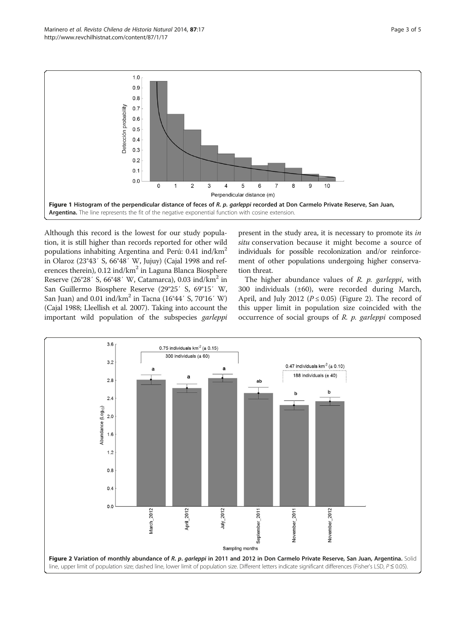<span id="page-2-0"></span>

Although this record is the lowest for our study population, it is still higher than records reported for other wild populations inhabiting Argentina and Perú: 0.41 ind/km2 in Olaroz (23°43′ S, 66°48′ W, Jujuy) (Cajal [1998](#page-4-0) and references therein),  $0.12$  ind/km<sup>2</sup> in Laguna Blanca Biosphere Reserve (26°28′ S, 66°48′ W, Catamarca), 0.03 ind/km2 in San Guillermo Biosphere Reserve (29°25′ S, 69°15′ W, San Juan) and 0.01 ind/km<sup>2</sup> in Tacna (16°44′ S, 70°16′ W) (Cajal [1988](#page-4-0); Lleellish et al. [2007](#page-4-0)). Taking into account the important wild population of the subspecies garleppi

present in the study area, it is necessary to promote its in situ conservation because it might become a source of individuals for possible recolonization and/or reinforcement of other populations undergoing higher conservation threat.

The higher abundance values of  $R$ .  $p$ . garleppi, with 300 individuals (±60), were recorded during March, April, and July 2012 ( $P \le 0.05$ ) (Figure 2). The record of this upper limit in population size coincided with the occurrence of social groups of  $R$ .  $p$ . garleppi composed

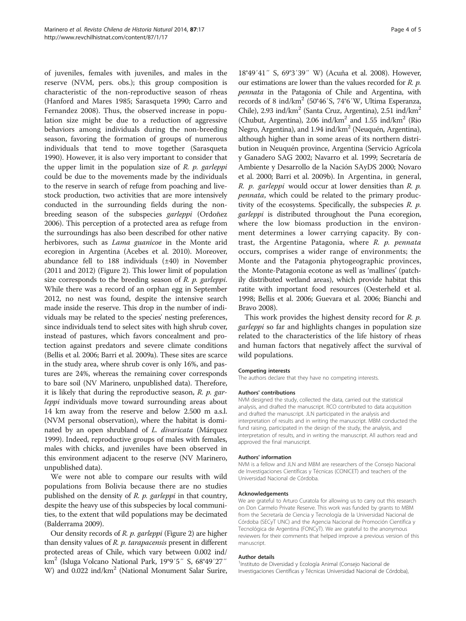of juveniles, females with juveniles, and males in the reserve (NVM, pers. obs.); this group composition is characteristic of the non-reproductive season of rheas (Hanford and Mares [1985](#page-4-0); Sarasqueta [1990](#page-4-0); Carro and Fernandez [2008\)](#page-4-0). Thus, the observed increase in population size might be due to a reduction of aggressive behaviors among individuals during the non-breeding season, favoring the formation of groups of numerous individuals that tend to move together (Sarasqueta [1990](#page-4-0)). However, it is also very important to consider that the upper limit in the population size of  $R$ .  $p$ . garleppi could be due to the movements made by the individuals to the reserve in search of refuge from poaching and livestock production, two activities that are more intensively conducted in the surrounding fields during the nonbreeding season of the subspecies garleppi (Ordoñez [2006\)](#page-4-0). This perception of a protected area as refuge from the surroundings has also been described for other native herbivores, such as *Lama guanicoe* in the Monte arid ecoregion in Argentina (Acebes et al. [2010\)](#page-4-0). Moreover, abundance fell to 188 individuals (±40) in November (2011 and 2012) (Figure [2](#page-2-0)). This lower limit of population size corresponds to the breeding season of R. p. garleppi. While there was a record of an orphan egg in September 2012, no nest was found, despite the intensive search made inside the reserve. This drop in the number of individuals may be related to the species' nesting preferences, since individuals tend to select sites with high shrub cover, instead of pastures, which favors concealment and protection against predators and severe climate conditions (Bellis et al. [2006](#page-4-0); Barri et al. [2009a\)](#page-4-0). These sites are scarce in the study area, where shrub cover is only 16%, and pastures are 24%, whereas the remaining cover corresponds to bare soil (NV Marinero, unpublished data). Therefore, it is likely that during the reproductive season, R. p. garleppi individuals move toward surrounding areas about 14 km away from the reserve and below 2.500 m a.s.l. (NVM personal observation), where the habitat is dominated by an open shrubland of L. divaricata (Márquez [1999\)](#page-4-0). Indeed, reproductive groups of males with females, males with chicks, and juveniles have been observed in this environment adjacent to the reserve (NV Marinero, unpublished data).

We were not able to compare our results with wild populations from Bolivia because there are no studies published on the density of R. p. garleppi in that country, despite the heavy use of this subspecies by local communities, to the extent that wild populations may be decimated (Balderrama [2009\)](#page-4-0).

Our density records of R. p. garleppi (Figure [2](#page-2-0)) are higher than density values of R. p. tarapacensis present in different protected areas of Chile, which vary between 0.002 ind/ km2 (Isluga Volcano National Park, 19°9′5″ S, 68°49′27″ W) and 0.022 ind/km<sup>2</sup> (National Monument Salar Surire,

18°49′41″ S, 69°3′39″ W) (Acuña et al. [2008\)](#page-4-0). However, our estimations are lower than the values recorded for R. p. pennata in the Patagonia of Chile and Argentina, with records of 8 ind/km2 (50°46′S, 74°6′W, Ultima Esperanza, Chile), 2.93 ind/km<sup>2</sup> (Santa Cruz, Argentina), 2.51 ind/km<sup>2</sup> (Chubut, Argentina), 2.06 ind/km<sup>2</sup> and 1.55 ind/km<sup>2</sup> (Rio) Negro, Argentina), and 1.94 ind/km<sup>2</sup> (Neuquén, Argentina), although higher than in some areas of its northern distribution in Neuquén province, Argentina (Servicio Agrícola y Ganadero SAG [2002;](#page-4-0) Navarro et al. [1999;](#page-4-0) Secretaría de Ambiente y Desarrollo de la Nación SAyDS [2000;](#page-4-0) Novaro et al. [2000;](#page-4-0) Barri et al. [2009b\)](#page-4-0). In Argentina, in general, R. *p. garleppi* would occur at lower densities than R. *p.* pennata, which could be related to the primary productivity of the ecosystems. Specifically, the subspecies  $R$ .  $p$ . garleppi is distributed throughout the Puna ecoregion, where the low biomass production in the environment determines a lower carrying capacity. By contrast, the Argentine Patagonia, where  $R$ .  $p$ . pennata occurs, comprises a wider range of environments; the Monte and the Patagonia phytogeographic provinces, the Monte-Patagonia ecotone as well as 'mallines' (patchily distributed wetland areas), which provide habitat this ratite with important food resources (Oesterheld et al. [1998](#page-4-0); Bellis et al. [2006;](#page-4-0) Guevara et al. [2006](#page-4-0); Bianchi and Bravo [2008\)](#page-4-0).

This work provides the highest density record for  $R$ .  $p$ . garleppi so far and highlights changes in population size related to the characteristics of the life history of rheas and human factors that negatively affect the survival of wild populations.

#### Competing interests

The authors declare that they have no competing interests.

#### Authors' contributions

NVM designed the study, collected the data, carried out the statistical analysis, and drafted the manuscript. RCO contributed to data acquisition and drafted the manuscript. JLN participated in the analysis and interpretation of results and in writing the manuscript. MBM conducted the fund raising, participated in the design of the study, the analysis, and interpretation of results, and in writing the manuscript. All authors read and approved the final manuscript.

#### Authors' information

NVM is a fellow and JLN and MBM are researchers of the Consejo Nacional de Investigaciones Científicas y Técnicas (CONICET) and teachers of the Universidad Nacional de Córdoba.

#### Acknowledgements

We are grateful to Arturo Curatola for allowing us to carry out this research on Don Carmelo Private Reserve. This work was funded by grants to MBM from the Secretaría de Ciencia y Tecnología de la Universidad Nacional de Córdoba (SECyT UNC) and the Agencia Nacional de Promoción Científica y Tecnológica de Argentina (FONCyT). We are grateful to the anonymous reviewers for their comments that helped improve a previous version of this manuscript.

#### Author details

<sup>1</sup>Instituto de Diversidad y Ecología Animal (Consejo Nacional de Investigaciones Científicas y Técnicas Universidad Nacional de Córdoba),